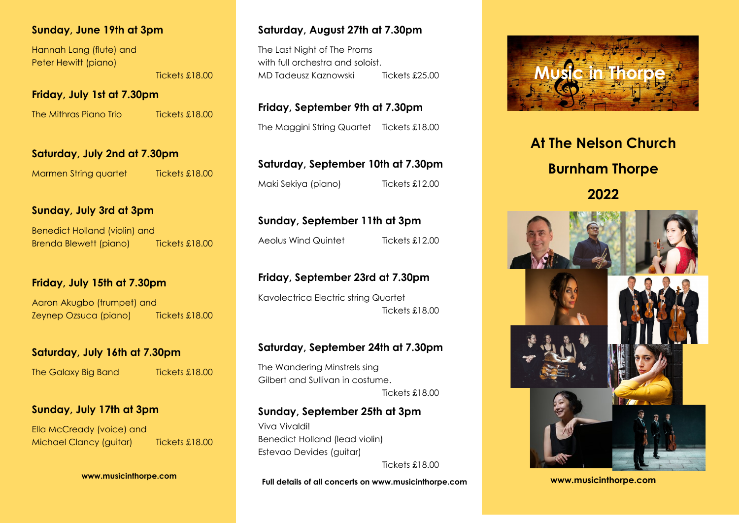# **Sunday, June 19th at 3pm**

Hannah Lang (flute) and Peter Hewitt (piano)

Tickets £18.00

**Friday, July 1st at 7.30pm**

The Mithras Piano Trio Tickets £18.00

**Saturday, July 2nd at 7.30pm**

Marmen String quartet Tickets £18.00

# **Sunday, July 3rd at 3pm**

Benedict Holland (violin) and Brenda Blewett (piano) Tickets £18.00

#### **Friday, July 15th at 7.30pm**

Aaron Akugbo (trumpet) and Zeynep Ozsuca (piano) Tickets £18.00

# **Saturday, July 16th at 7.30pm**

The Galaxy Big Band Tickets £18.00

## **Sunday, July 17th at 3pm**

Ella McCready (voice) and Michael Clancy (quitar) Tickets £18.00

**www.musicinthorpe.com**

# **Saturday, August 27th at 7.30pm**

The Last Night of The Proms with full orchestra and soloist MD Tadeusz Kaznowski Tickets £25.00

**Friday, September 9th at 7.30pm** The Maggini String Quartet Tickets £18.00

| Saturday, September 10th at 7.30pm |                |
|------------------------------------|----------------|
| Maki Sekiya (piano)                | Tickets £12.00 |

**Sunday, September 11th at 3pm**

Aeolus Wind Quintet Tickets £12.00

## **Friday, September 23rd at 7.30pm**

Kavolectrica Electric string Quartet Tickets £18.00

#### **Saturday, September 24th at 7.30pm**

The Wandering Minstrels sing Gilbert and Sullivan in costume. Tickets £18.00

#### **Sunday, September 25th at 3pm**

Viva Vivaldi! Benedict Holland (lead violin) Estevao Devides (guitar)

Tickets £18.00

**Full details of all concerts on www.musicinthorpe.com** 



# **At The Nelson Church Burnham Thorpe 2022**



**www.musicinthorpe.com**